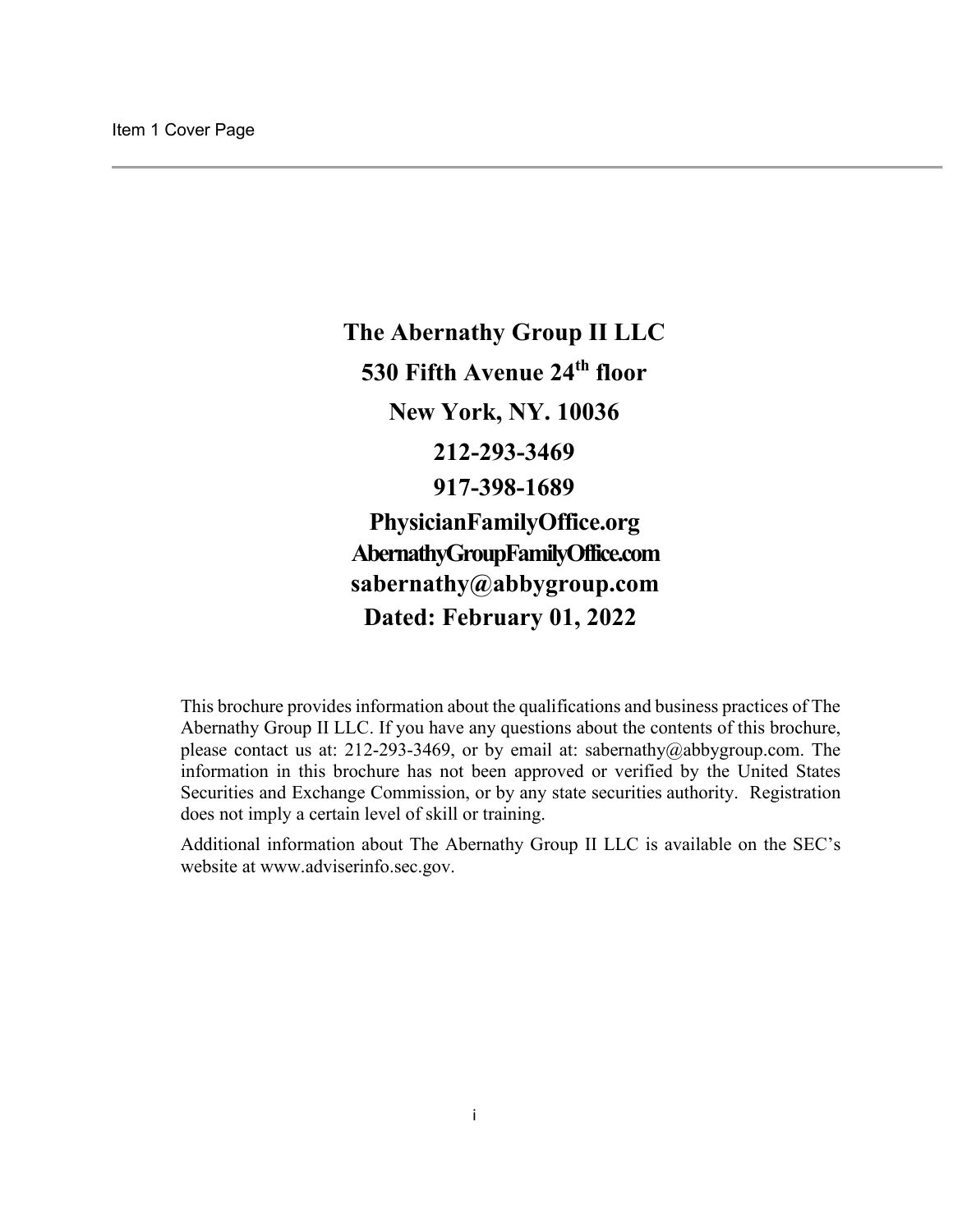<span id="page-0-0"></span>**The Abernathy Group II LLC 530 Fifth Avenue 24th floor New York, NY. 10036 212-293-3469 917-398-1689 PhysicianFamilyOffice.org AbernathyGroupFamilyOffice.com [sabernathy@abbygroup.com](mailto:sabernathy@abbygroup.com) Dated: February 01, 2022** 

This brochure provides information about the qualifications and business practices of The Abernathy Group II LLC. If you have any questions about the contents of this brochure, please contact us at: 212-293-3469, or by email at: [sabernathy@abbygroup.com.](mailto:sabernathy@abbygroup.com) The information in this brochure has not been approved or verified by the United States Securities and Exchange Commission, or by any state securities authority. Registration does not imply a certain level of skill or training.

Additional information about The Abernathy Group II LLC is available on the SEC's website at [www.adviserinfo.sec.gov.](http://www.adviserinfo.sec.gov/)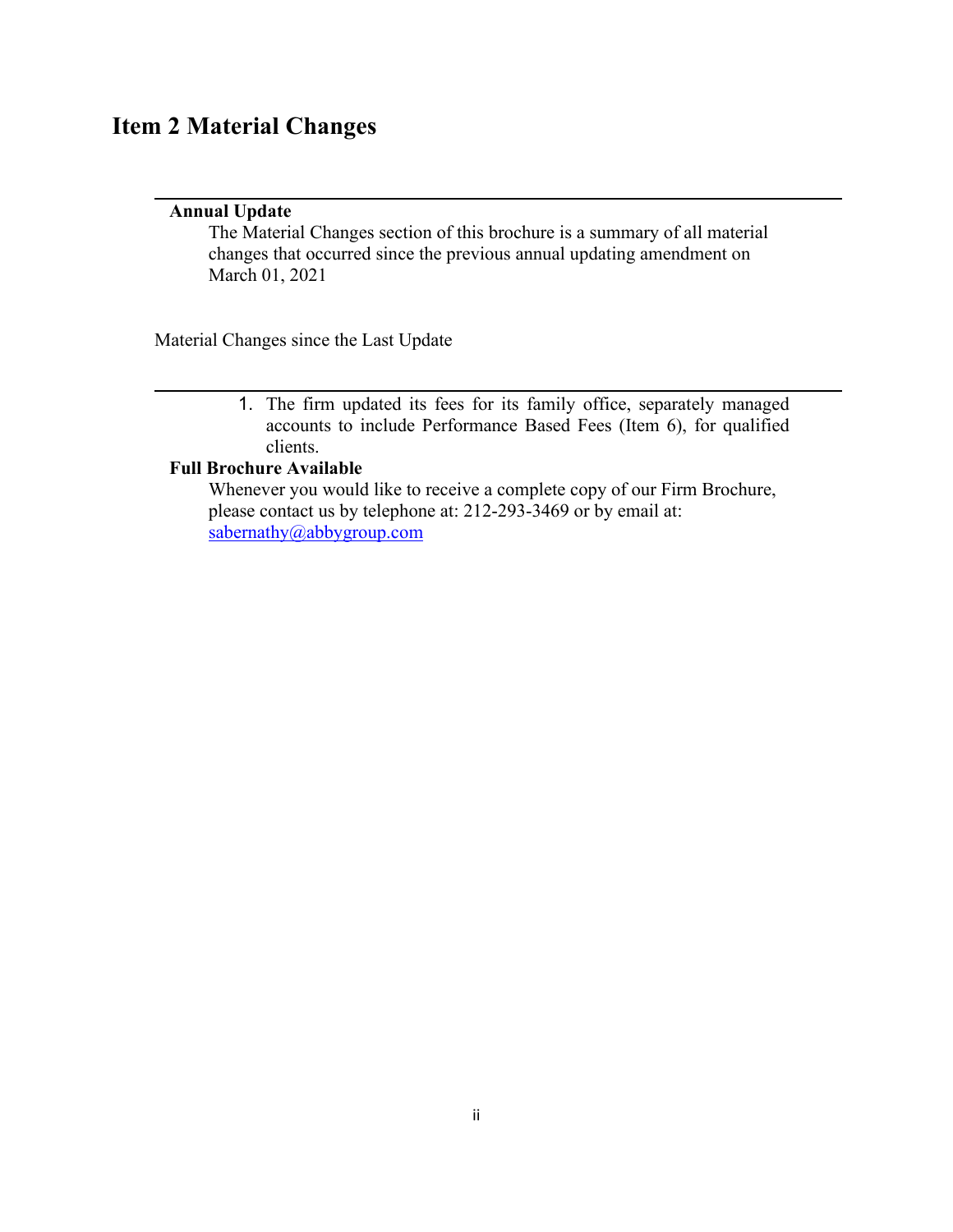# <span id="page-1-0"></span>**Item 2 Material Changes**

### **Annual Update**

The Material Changes section of this brochure is a summary of all material changes that occurred since the previous annual updating amendment on March 01, 2021

Material Changes since the Last Update

1. The firm updated its fees for its family office, separately managed accounts to include Performance Based Fees (Item 6), for qualified clients.

### **Full Brochure Available**

Whenever you would like to receive a complete copy of our Firm Brochure, please contact us by telephone at: 212-293-3469 or by email at: [sabernathy@abbygroup.com](mailto:sabernathy@abbygroup.com)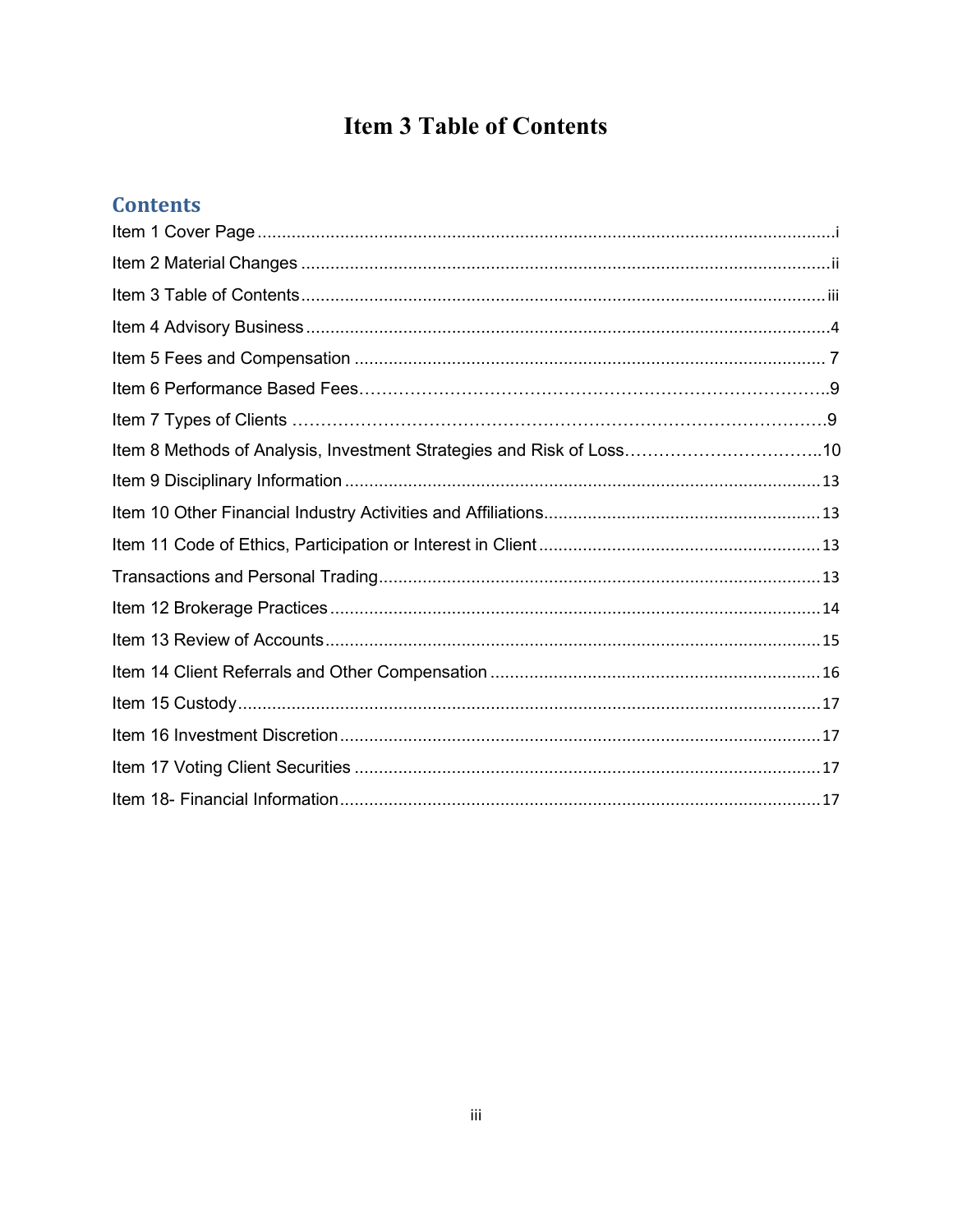# **Item 3 Table of Contents**

## <span id="page-2-0"></span>**Contents**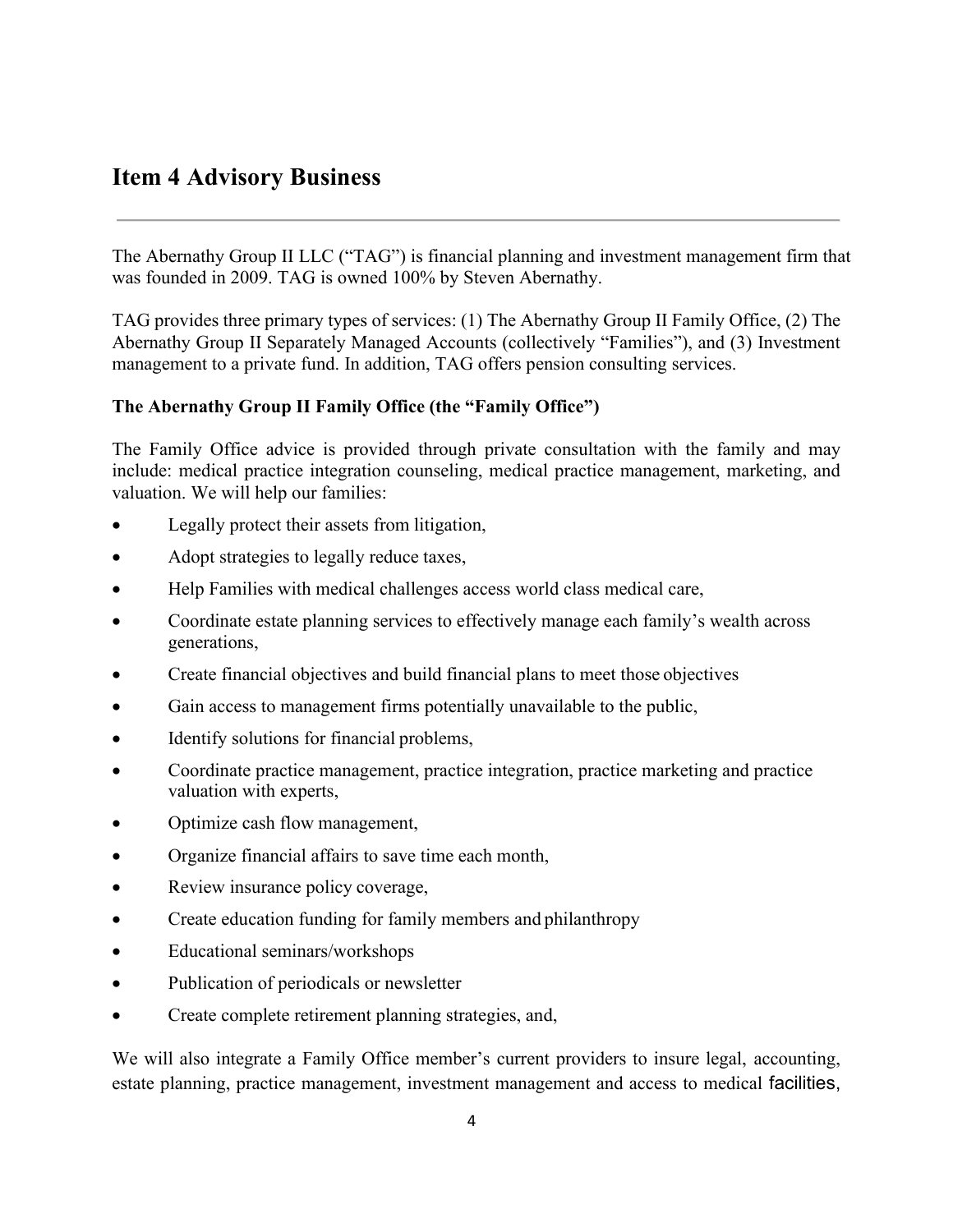### <span id="page-3-0"></span>**Item 4 Advisory Business**

The Abernathy Group II LLC ("TAG") is financial planning and investment management firm that was founded in 2009. TAG is owned 100% by Steven Abernathy.

TAG provides three primary types of services: (1) The Abernathy Group II Family Office, (2) The Abernathy Group II Separately Managed Accounts (collectively "Families"), and (3) Investment management to a private fund. In addition, TAG offers pension consulting services.

### **The Abernathy Group II Family Office (the "Family Office")**

The Family Office advice is provided through private consultation with the family and may include: medical practice integration counseling, medical practice management, marketing, and valuation. We will help our families:

- Legally protect their assets from litigation,
- Adopt strategies to legally reduce taxes,
- Help Families with medical challenges access world class medical care,
- Coordinate estate planning services to effectively manage each family's wealth across generations,
- Create financial objectives and build financial plans to meet those objectives
- Gain access to management firms potentially unavailable to the public,
- Identify solutions for financial problems,
- Coordinate practice management, practice integration, practice marketing and practice valuation with experts,
- Optimize cash flow management,
- Organize financial affairs to save time each month,
- Review insurance policy coverage,
- Create education funding for family members and philanthropy
- Educational seminars/workshops
- Publication of periodicals or newsletter
- Create complete retirement planning strategies, and,

We will also integrate a Family Office member's current providers to insure legal, accounting, estate planning, practice management, investment management and access to medical facilities,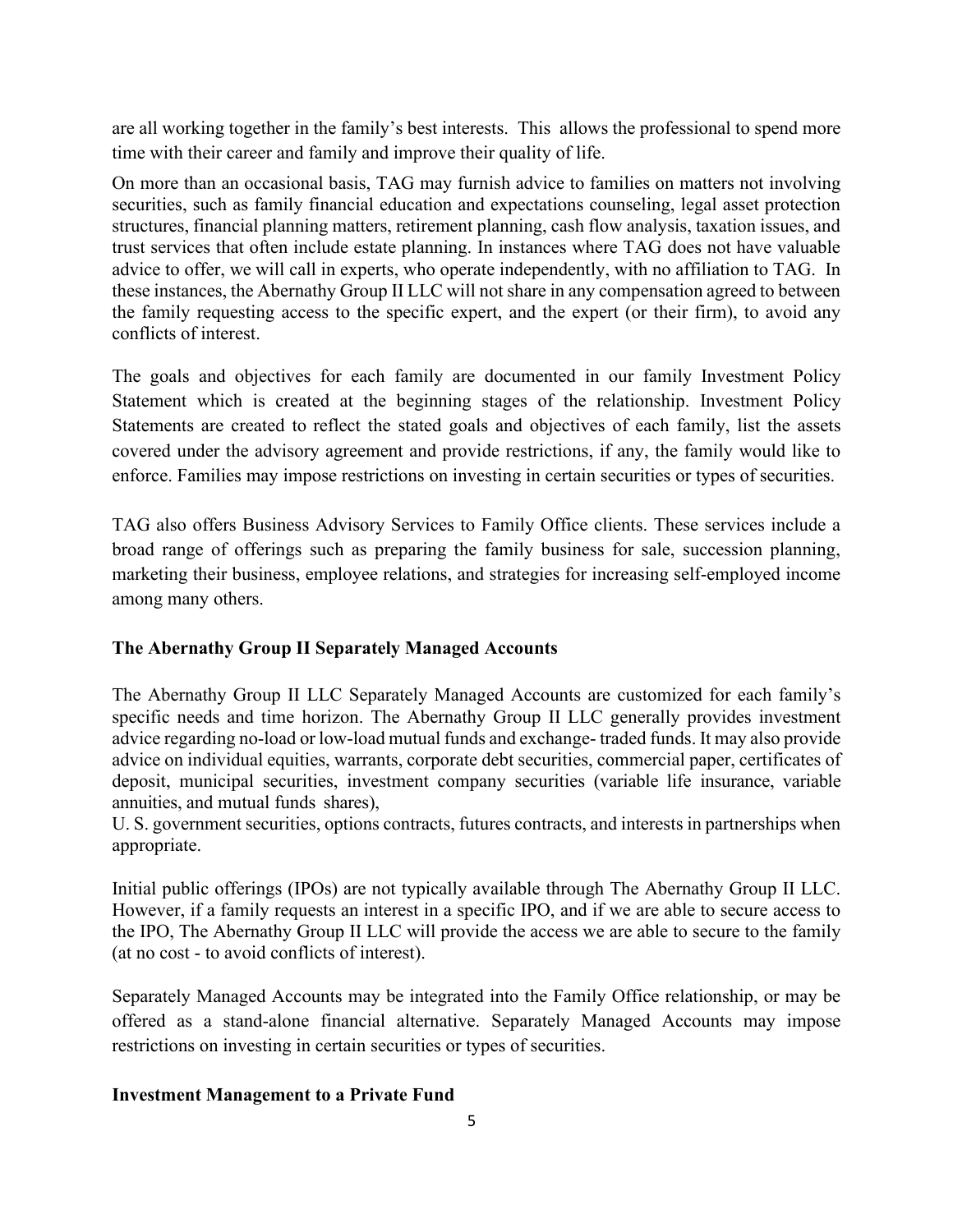are all working together in the family's best interests. This allows the professional to spend more time with their career and family and improve their quality of life.

On more than an occasional basis, TAG may furnish advice to families on matters not involving securities, such as family financial education and expectations counseling, legal asset protection structures, financial planning matters, retirement planning, cash flow analysis, taxation issues, and trust services that often include estate planning. In instances where TAG does not have valuable advice to offer, we will call in experts, who operate independently, with no affiliation to TAG. In these instances, the Abernathy Group II LLC will not share in any compensation agreed to between the family requesting access to the specific expert, and the expert (or their firm), to avoid any conflicts of interest.

The goals and objectives for each family are documented in our family Investment Policy Statement which is created at the beginning stages of the relationship. Investment Policy Statements are created to reflect the stated goals and objectives of each family, list the assets covered under the advisory agreement and provide restrictions, if any, the family would like to enforce. Families may impose restrictions on investing in certain securities or types of securities.

TAG also offers Business Advisory Services to Family Office clients. These services include a broad range of offerings such as preparing the family business for sale, succession planning, marketing their business, employee relations, and strategies for increasing self-employed income among many others.

### **The Abernathy Group II Separately Managed Accounts**

The Abernathy Group II LLC Separately Managed Accounts are customized for each family's specific needs and time horizon. The Abernathy Group II LLC generally provides investment advice regarding no-load or low-load mutual funds and exchange- traded funds. It may also provide advice on individual equities, warrants, corporate debt securities, commercial paper, certificates of deposit, municipal securities, investment company securities (variable life insurance, variable annuities, and mutual funds shares),

U. S. government securities, options contracts, futures contracts, and interests in partnerships when appropriate.

Initial public offerings (IPOs) are not typically available through The Abernathy Group II LLC. However, if a family requests an interest in a specific IPO, and if we are able to secure access to the IPO, The Abernathy Group II LLC will provide the access we are able to secure to the family (at no cost - to avoid conflicts of interest).

Separately Managed Accounts may be integrated into the Family Office relationship, or may be offered as a stand-alone financial alternative. Separately Managed Accounts may impose restrictions on investing in certain securities or types of securities.

### **Investment Management to a Private Fund**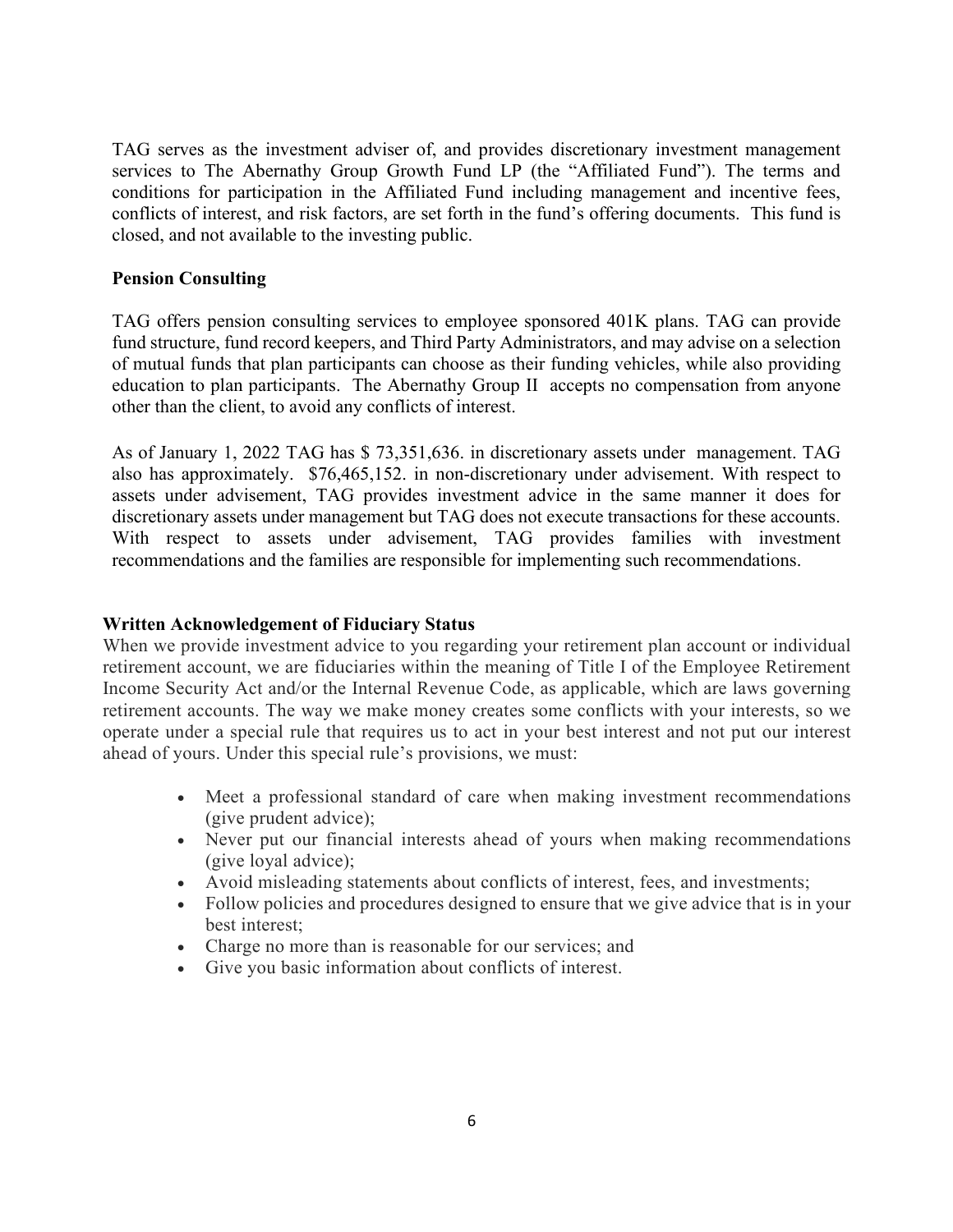TAG serves as the investment adviser of, and provides discretionary investment management services to The Abernathy Group Growth Fund LP (the "Affiliated Fund"). The terms and conditions for participation in the Affiliated Fund including management and incentive fees, conflicts of interest, and risk factors, are set forth in the fund's offering documents. This fund is closed, and not available to the investing public.

### **Pension Consulting**

TAG offers pension consulting services to employee sponsored 401K plans. TAG can provide fund structure, fund record keepers, and Third Party Administrators, and may advise on a selection of mutual funds that plan participants can choose as their funding vehicles, while also providing education to plan participants. The Abernathy Group II accepts no compensation from anyone other than the client, to avoid any conflicts of interest.

As of January 1, 2022 TAG has \$ 73,351,636. in discretionary assets under management. TAG also has approximately. \$76,465,152. in non-discretionary under advisement. With respect to assets under advisement, TAG provides investment advice in the same manner it does for discretionary assets under management but TAG does not execute transactions for these accounts. With respect to assets under advisement, TAG provides families with investment recommendations and the families are responsible for implementing such recommendations.

### **Written Acknowledgement of Fiduciary Status**

When we provide investment advice to you regarding your retirement plan account or individual retirement account, we are fiduciaries within the meaning of Title I of the Employee Retirement Income Security Act and/or the Internal Revenue Code, as applicable, which are laws governing retirement accounts. The way we make money creates some conflicts with your interests, so we operate under a special rule that requires us to act in your best interest and not put our interest ahead of yours. Under this special rule's provisions, we must:

- Meet a professional standard of care when making investment recommendations (give prudent advice);
- Never put our financial interests ahead of yours when making recommendations (give loyal advice);
- Avoid misleading statements about conflicts of interest, fees, and investments;
- Follow policies and procedures designed to ensure that we give advice that is in your best interest;
- Charge no more than is reasonable for our services; and
- Give you basic information about conflicts of interest.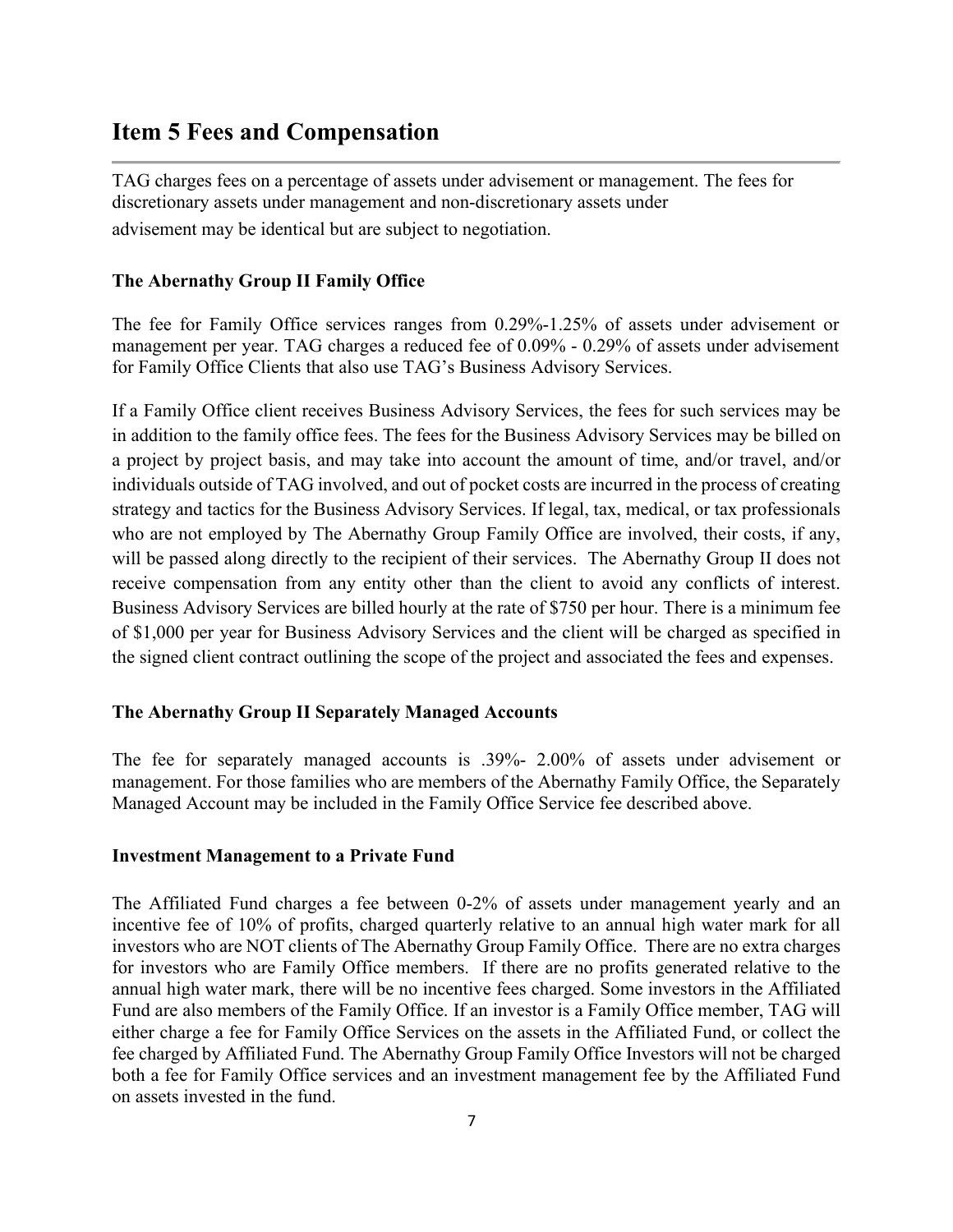# <span id="page-6-0"></span>**Item 5 Fees and Compensation**

TAG charges fees on a percentage of assets under advisement or management. The fees for discretionary assets under management and non-discretionary assets under advisement may be identical but are subject to negotiation.

### **The Abernathy Group II Family Office**

The fee for Family Office services ranges from 0.29%-1.25% of assets under advisement or management per year. TAG charges a reduced fee of 0.09% - 0.29% of assets under advisement for Family Office Clients that also use TAG's Business Advisory Services.

If a Family Office client receives Business Advisory Services, the fees for such services may be in addition to the family office fees. The fees for the Business Advisory Services may be billed on a project by project basis, and may take into account the amount of time, and/or travel, and/or individuals outside of TAG involved, and out of pocket costs are incurred in the process of creating strategy and tactics for the Business Advisory Services. If legal, tax, medical, or tax professionals who are not employed by The Abernathy Group Family Office are involved, their costs, if any, will be passed along directly to the recipient of their services. The Abernathy Group II does not receive compensation from any entity other than the client to avoid any conflicts of interest. Business Advisory Services are billed hourly at the rate of \$750 per hour. There is a minimum fee of \$1,000 per year for Business Advisory Services and the client will be charged as specified in the signed client contract outlining the scope of the project and associated the fees and expenses.

#### **The Abernathy Group II Separately Managed Accounts**

The fee for separately managed accounts is .39%- 2.00% of assets under advisement or management. For those families who are members of the Abernathy Family Office, the Separately Managed Account may be included in the Family Office Service fee described above.

#### **Investment Management to a Private Fund**

The Affiliated Fund charges a fee between 0-2% of assets under management yearly and an incentive fee of 10% of profits, charged quarterly relative to an annual high water mark for all investors who are NOT clients of The Abernathy Group Family Office. There are no extra charges for investors who are Family Office members. If there are no profits generated relative to the annual high water mark, there will be no incentive fees charged. Some investors in the Affiliated Fund are also members of the Family Office. If an investor is a Family Office member, TAG will either charge a fee for Family Office Services on the assets in the Affiliated Fund, or collect the fee charged by Affiliated Fund. The Abernathy Group Family Office Investors will not be charged both a fee for Family Office services and an investment management fee by the Affiliated Fund on assets invested in the fund.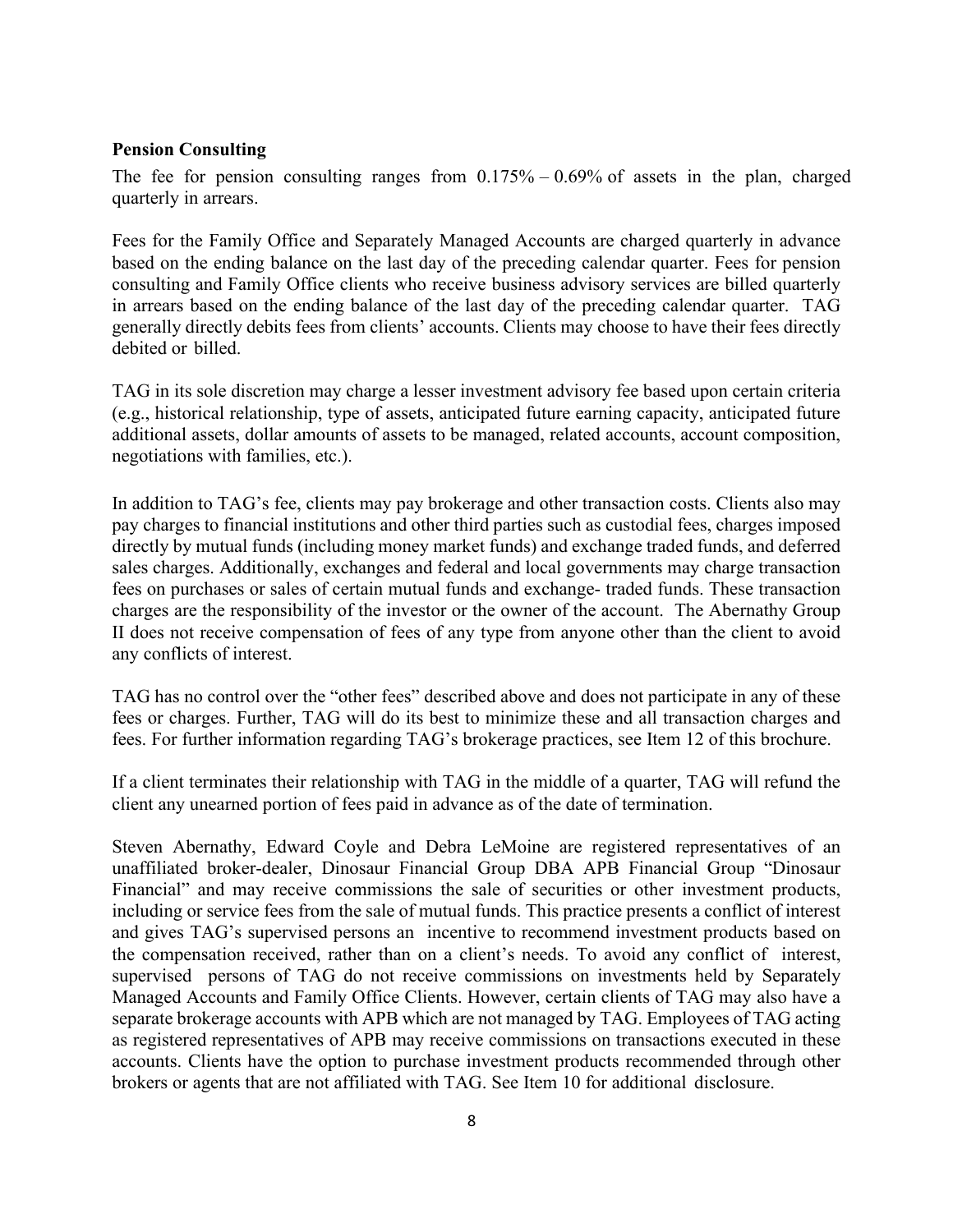#### **Pension Consulting**

The fee for pension consulting ranges from  $0.175\% - 0.69\%$  of assets in the plan, charged quarterly in arrears.

Fees for the Family Office and Separately Managed Accounts are charged quarterly in advance based on the ending balance on the last day of the preceding calendar quarter. Fees for pension consulting and Family Office clients who receive business advisory services are billed quarterly in arrears based on the ending balance of the last day of the preceding calendar quarter. TAG generally directly debits fees from clients' accounts. Clients may choose to have their fees directly debited or billed.

TAG in its sole discretion may charge a lesser investment advisory fee based upon certain criteria (e.g., historical relationship, type of assets, anticipated future earning capacity, anticipated future additional assets, dollar amounts of assets to be managed, related accounts, account composition, negotiations with families, etc.).

In addition to TAG's fee, clients may pay brokerage and other transaction costs. Clients also may pay charges to financial institutions and other third parties such as custodial fees, charges imposed directly by mutual funds (including money market funds) and exchange traded funds, and deferred sales charges. Additionally, exchanges and federal and local governments may charge transaction fees on purchases or sales of certain mutual funds and exchange- traded funds. These transaction charges are the responsibility of the investor or the owner of the account. The Abernathy Group II does not receive compensation of fees of any type from anyone other than the client to avoid any conflicts of interest.

TAG has no control over the "other fees" described above and does not participate in any of these fees or charges. Further, TAG will do its best to minimize these and all transaction charges and fees. For further information regarding TAG's brokerage practices, see Item 12 of this brochure.

If a client terminates their relationship with TAG in the middle of a quarter, TAG will refund the client any unearned portion of fees paid in advance as of the date of termination.

Steven Abernathy, Edward Coyle and Debra LeMoine are registered representatives of an unaffiliated broker-dealer, Dinosaur Financial Group DBA APB Financial Group "Dinosaur Financial" and may receive commissions the sale of securities or other investment products, including or service fees from the sale of mutual funds. This practice presents a conflict of interest and gives TAG's supervised persons an incentive to recommend investment products based on the compensation received, rather than on a client's needs. To avoid any conflict of interest, supervised persons of TAG do not receive commissions on investments held by Separately Managed Accounts and Family Office Clients. However, certain clients of TAG may also have a separate brokerage accounts with APB which are not managed by TAG. Employees of TAG acting as registered representatives of APB may receive commissions on transactions executed in these accounts. Clients have the option to purchase investment products recommended through other brokers or agents that are not affiliated with TAG. See Item 10 for additional disclosure.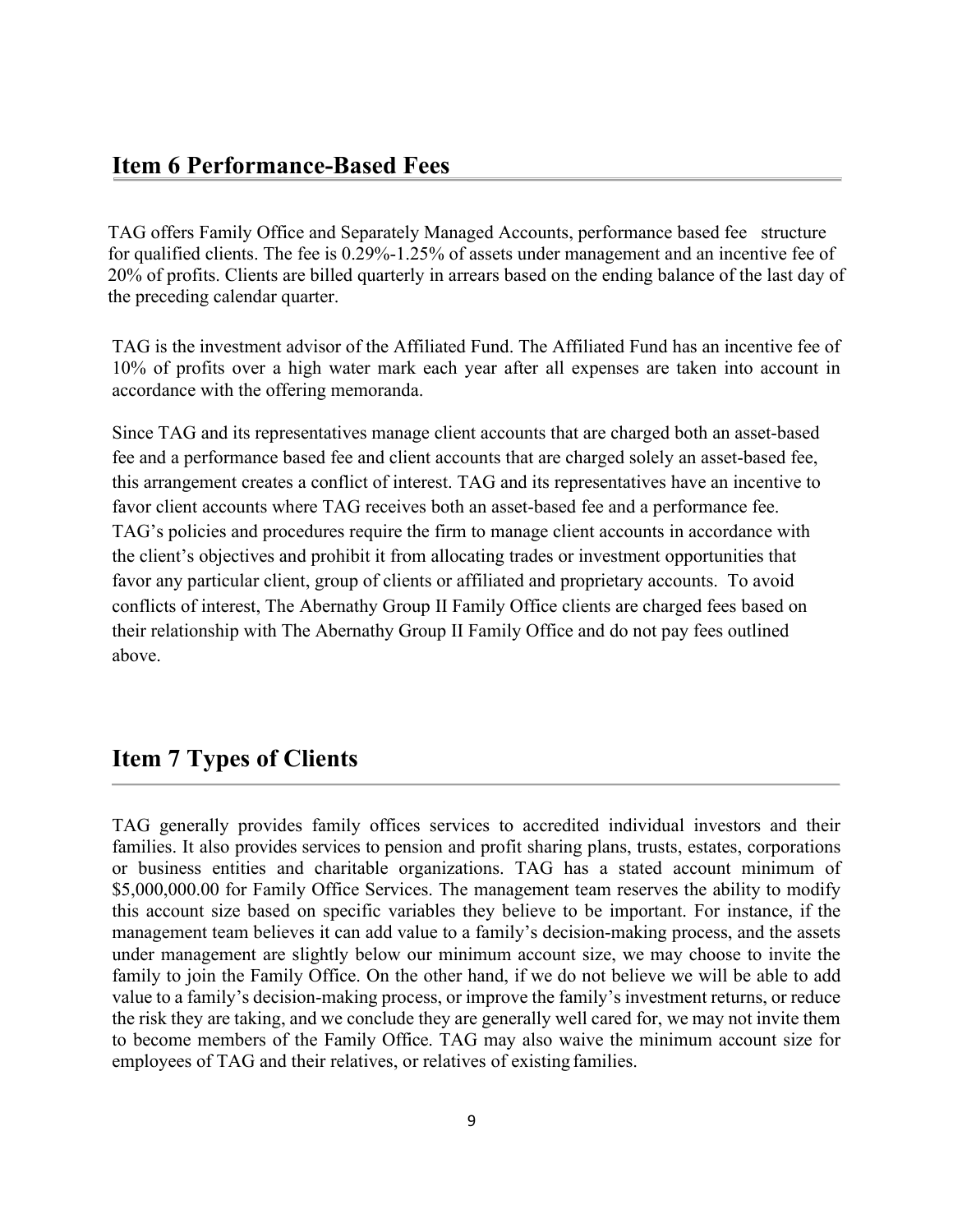TAG offers Family Office and Separately Managed Accounts, performance based fee structure for qualified clients. The fee is 0.29%-1.25% of assets under management and an incentive fee of 20% of profits. Clients are billed quarterly in arrears based on the ending balance of the last day of the preceding calendar quarter.

TAG is the investment advisor of the Affiliated Fund. The Affiliated Fund has an incentive fee of 10% of profits over a high water mark each year after all expenses are taken into account in accordance with the offering memoranda.

Since TAG and its representatives manage client accounts that are charged both an asset-based fee and a performance based fee and client accounts that are charged solely an asset-based fee, this arrangement creates a conflict of interest. TAG and its representatives have an incentive to favor client accounts where TAG receives both an asset-based fee and a performance fee. TAG's policies and procedures require the firm to manage client accounts in accordance with the client's objectives and prohibit it from allocating trades or investment opportunities that favor any particular client, group of clients or affiliated and proprietary accounts. To avoid conflicts of interest, The Abernathy Group II Family Office clients are charged fees based on their relationship with The Abernathy Group II Family Office and do not pay fees outlined above.

### **Item 7 Types of Clients**

TAG generally provides family offices services to accredited individual investors and their families. It also provides services to pension and profit sharing plans, trusts, estates, corporations or business entities and charitable organizations. TAG has a stated account minimum of \$5,000,000.00 for Family Office Services. The management team reserves the ability to modify this account size based on specific variables they believe to be important. For instance, if the management team believes it can add value to a family's decision-making process, and the assets under management are slightly below our minimum account size, we may choose to invite the family to join the Family Office. On the other hand, if we do not believe we will be able to add value to a family's decision-making process, or improve the family's investment returns, or reduce the risk they are taking, and we conclude they are generally well cared for, we may not invite them to become members of the Family Office. TAG may also waive the minimum account size for employees of TAG and their relatives, or relatives of existing families.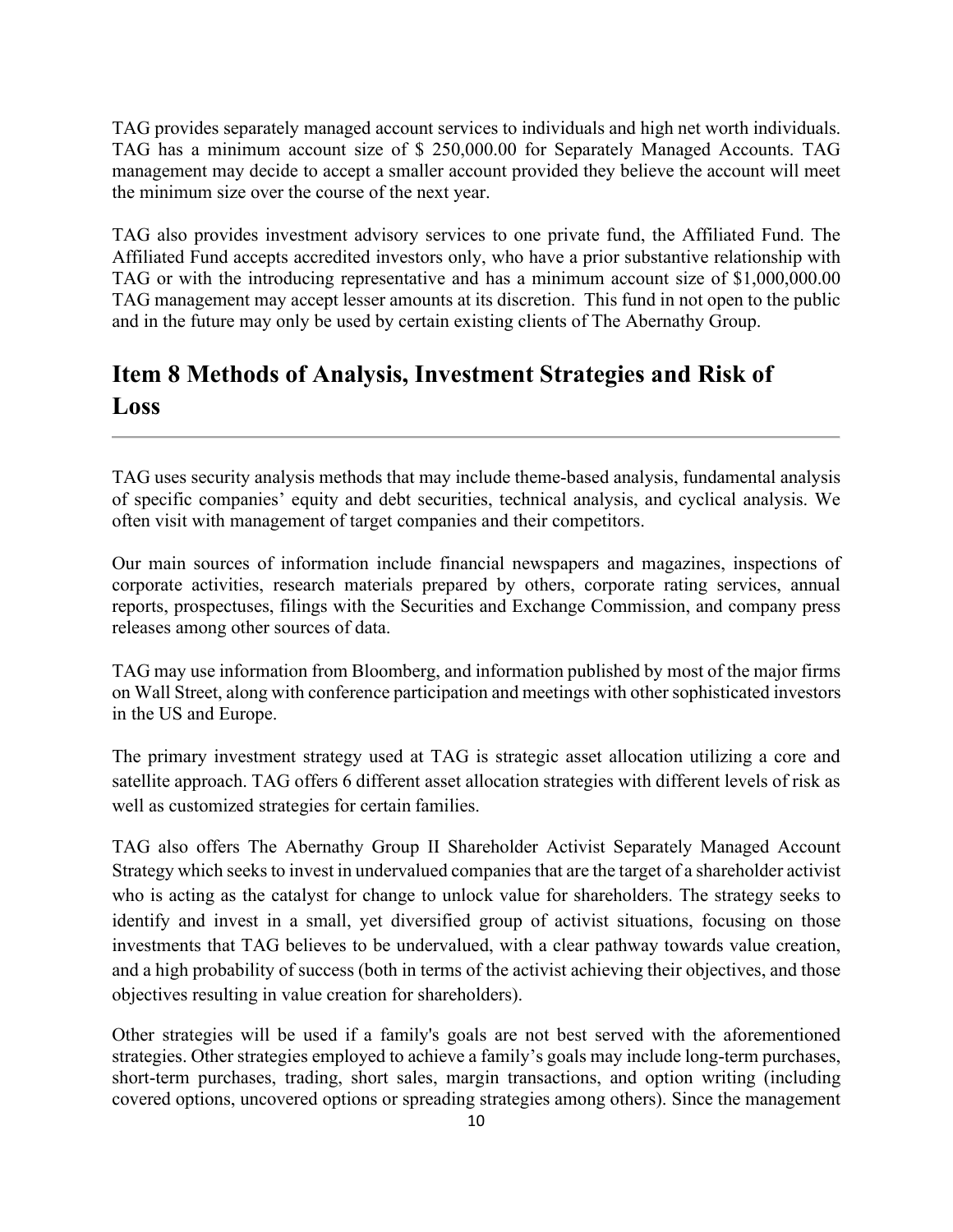TAG provides separately managed account services to individuals and high net worth individuals. TAG has a minimum account size of \$ 250,000.00 for Separately Managed Accounts. TAG management may decide to accept a smaller account provided they believe the account will meet the minimum size over the course of the next year.

TAG also provides investment advisory services to one private fund, the Affiliated Fund. The Affiliated Fund accepts accredited investors only, who have a prior substantive relationship with TAG or with the introducing representative and has a minimum account size of \$1,000,000.00 TAG management may accept lesser amounts at its discretion. This fund in not open to the public and in the future may only be used by certain existing clients of The Abernathy Group.

# <span id="page-9-0"></span>**Item 8 Methods of Analysis, Investment Strategies and Risk of Loss**

TAG uses security analysis methods that may include theme-based analysis, fundamental analysis of specific companies' equity and debt securities, technical analysis, and cyclical analysis. We often visit with management of target companies and their competitors.

Our main sources of information include financial newspapers and magazines, inspections of corporate activities, research materials prepared by others, corporate rating services, annual reports, prospectuses, filings with the Securities and Exchange Commission, and company press releases among other sources of data.

TAG may use information from Bloomberg, and information published by most of the major firms on Wall Street, along with conference participation and meetings with other sophisticated investors in the US and Europe.

The primary investment strategy used at TAG is strategic asset allocation utilizing a core and satellite approach. TAG offers 6 different asset allocation strategies with different levels of risk as well as customized strategies for certain families.

TAG also offers The Abernathy Group II Shareholder Activist Separately Managed Account Strategy which seeks to invest in undervalued companies that are the target of a shareholder activist who is acting as the catalyst for change to unlock value for shareholders. The strategy seeks to identify and invest in a small, yet diversified group of activist situations, focusing on those investments that TAG believes to be undervalued, with a clear pathway towards value creation, and a high probability of success (both in terms of the activist achieving their objectives, and those objectives resulting in value creation for shareholders).

Other strategies will be used if a family's goals are not best served with the aforementioned strategies. Other strategies employed to achieve a family's goals may include long-term purchases, short-term purchases, trading, short sales, margin transactions, and option writing (including covered options, uncovered options or spreading strategies among others). Since the management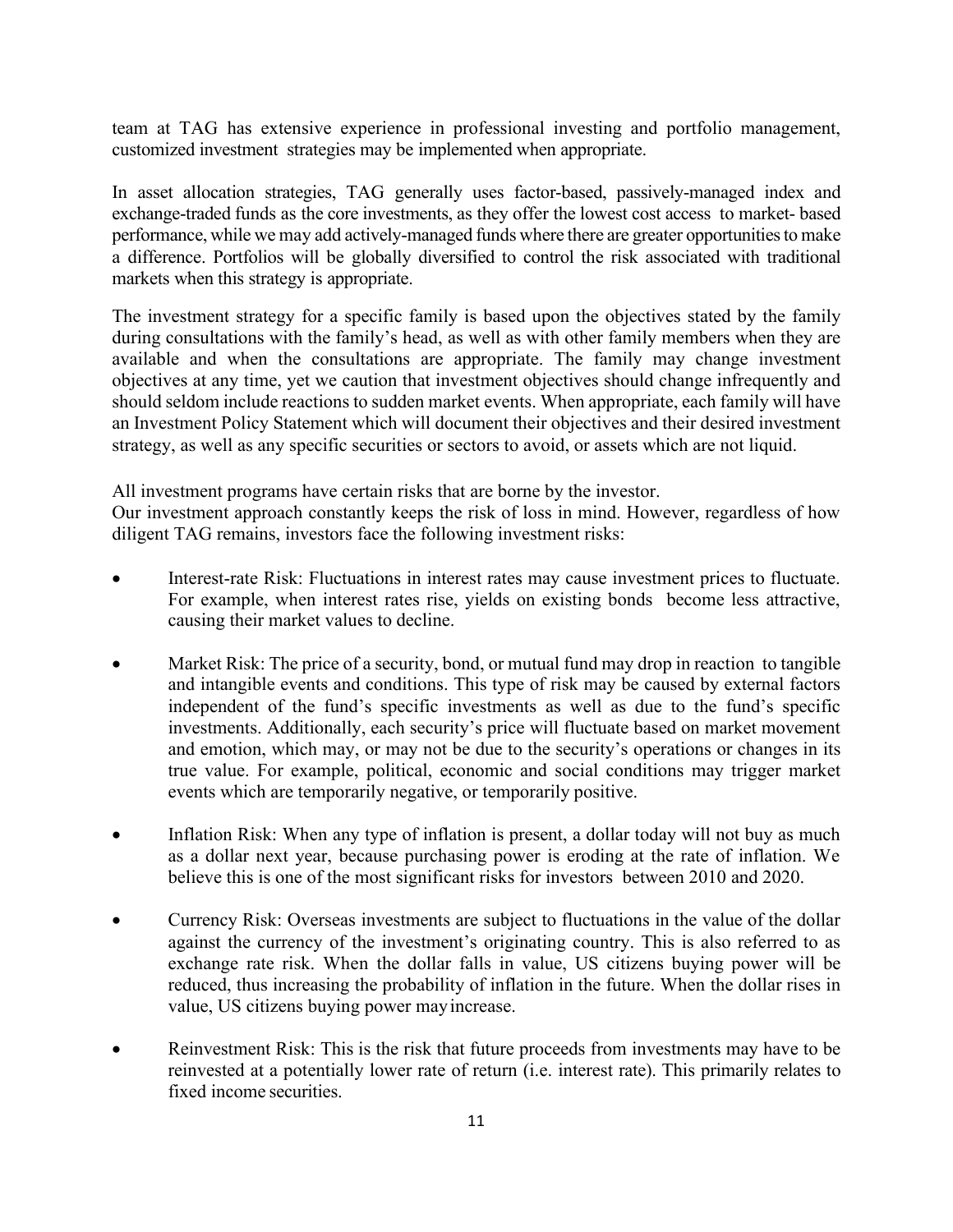team at TAG has extensive experience in professional investing and portfolio management, customized investment strategies may be implemented when appropriate.

In asset allocation strategies, TAG generally uses factor-based, passively-managed index and exchange-traded funds as the core investments, as they offer the lowest cost access to market- based performance, while we may add actively-managed funds where there are greater opportunities to make a difference. Portfolios will be globally diversified to control the risk associated with traditional markets when this strategy is appropriate.

The investment strategy for a specific family is based upon the objectives stated by the family during consultations with the family's head, as well as with other family members when they are available and when the consultations are appropriate. The family may change investment objectives at any time, yet we caution that investment objectives should change infrequently and should seldom include reactions to sudden market events. When appropriate, each family will have an Investment Policy Statement which will document their objectives and their desired investment strategy, as well as any specific securities or sectors to avoid, or assets which are not liquid.

All investment programs have certain risks that are borne by the investor.

Our investment approach constantly keeps the risk of loss in mind. However, regardless of how diligent TAG remains, investors face the following investment risks:

- Interest-rate Risk: Fluctuations in interest rates may cause investment prices to fluctuate. For example, when interest rates rise, yields on existing bonds become less attractive, causing their market values to decline.
- Market Risk: The price of a security, bond, or mutual fund may drop in reaction to tangible and intangible events and conditions. This type of risk may be caused by external factors independent of the fund's specific investments as well as due to the fund's specific investments. Additionally, each security's price will fluctuate based on market movement and emotion, which may, or may not be due to the security's operations or changes in its true value. For example, political, economic and social conditions may trigger market events which are temporarily negative, or temporarily positive.
- Inflation Risk: When any type of inflation is present, a dollar today will not buy as much as a dollar next year, because purchasing power is eroding at the rate of inflation. We believe this is one of the most significant risks for investors between 2010 and 2020.
- Currency Risk: Overseas investments are subject to fluctuations in the value of the dollar against the currency of the investment's originating country. This is also referred to as exchange rate risk. When the dollar falls in value, US citizens buying power will be reduced, thus increasing the probability of inflation in the future. When the dollar rises in value, US citizens buying power mayincrease.
- Reinvestment Risk: This is the risk that future proceeds from investments may have to be reinvested at a potentially lower rate of return (i.e. interest rate). This primarily relates to fixed income securities.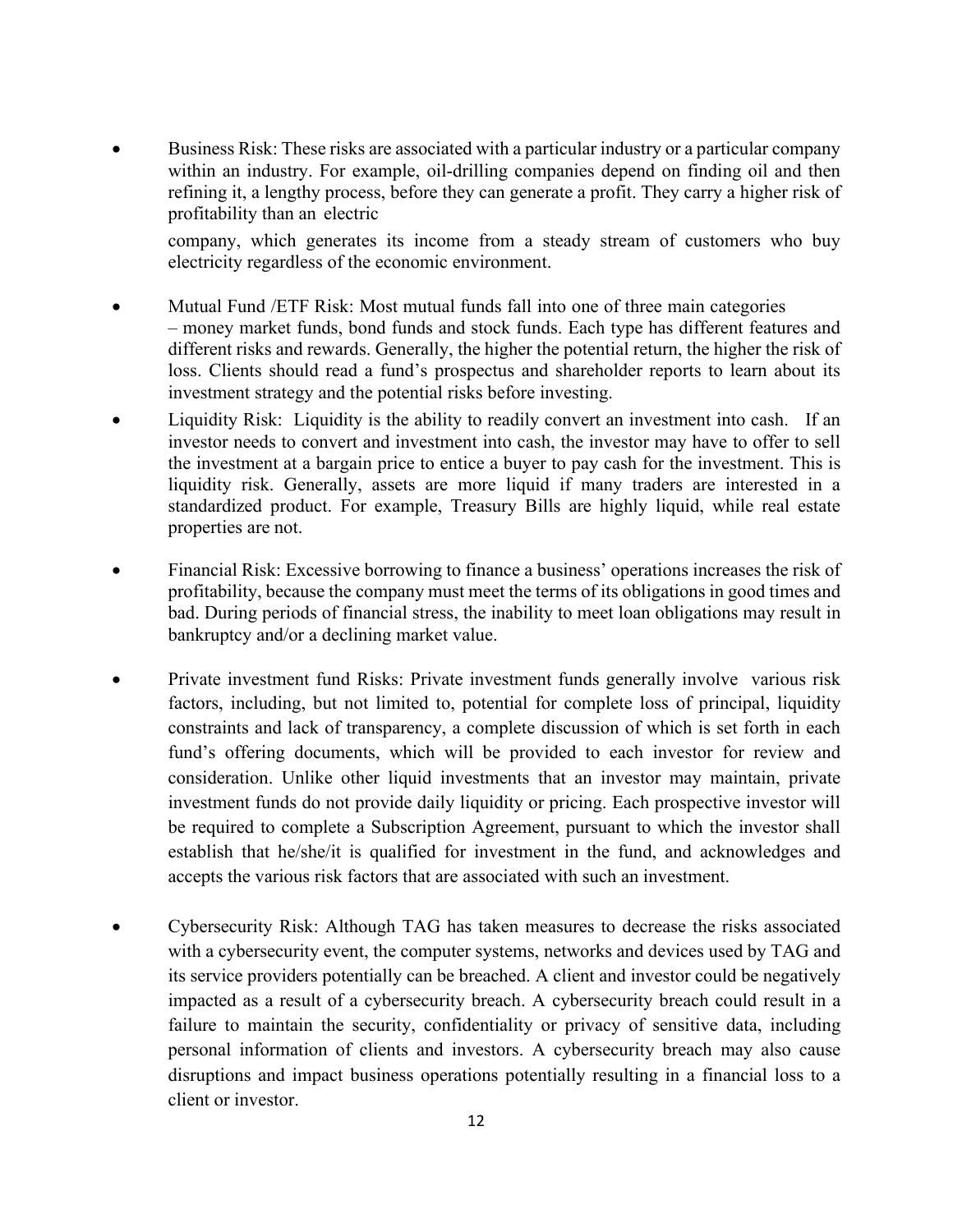• Business Risk: These risks are associated with a particular industry or a particular company within an industry. For example, oil-drilling companies depend on finding oil and then refining it, a lengthy process, before they can generate a profit. They carry a higher risk of profitability than an electric

company, which generates its income from a steady stream of customers who buy electricity regardless of the economic environment.

- Mutual Fund /ETF Risk: Most mutual funds fall into one of three main categories – money market funds, bond funds and stock funds. Each type has different features and different risks and rewards. Generally, the higher the potential return, the higher the risk of loss. Clients should read a fund's prospectus and shareholder reports to learn about its investment strategy and the potential risks before investing.
- Liquidity Risk: Liquidity is the ability to readily convert an investment into cash. If an investor needs to convert and investment into cash, the investor may have to offer to sell the investment at a bargain price to entice a buyer to pay cash for the investment. This is liquidity risk. Generally, assets are more liquid if many traders are interested in a standardized product. For example, Treasury Bills are highly liquid, while real estate properties are not.
- Financial Risk: Excessive borrowing to finance a business' operations increases the risk of profitability, because the company must meet the terms of its obligations in good times and bad. During periods of financial stress, the inability to meet loan obligations may result in bankruptcy and/or a declining market value.
- Private investment fund Risks: Private investment funds generally involve various risk factors, including, but not limited to, potential for complete loss of principal, liquidity constraints and lack of transparency, a complete discussion of which is set forth in each fund's offering documents, which will be provided to each investor for review and consideration. Unlike other liquid investments that an investor may maintain, private investment funds do not provide daily liquidity or pricing. Each prospective investor will be required to complete a Subscription Agreement, pursuant to which the investor shall establish that he/she/it is qualified for investment in the fund, and acknowledges and accepts the various risk factors that are associated with such an investment.
- Cybersecurity Risk: Although TAG has taken measures to decrease the risks associated with a cybersecurity event, the computer systems, networks and devices used by TAG and its service providers potentially can be breached. A client and investor could be negatively impacted as a result of a cybersecurity breach. A cybersecurity breach could result in a failure to maintain the security, confidentiality or privacy of sensitive data, including personal information of clients and investors. A cybersecurity breach may also cause disruptions and impact business operations potentially resulting in a financial loss to a client or investor.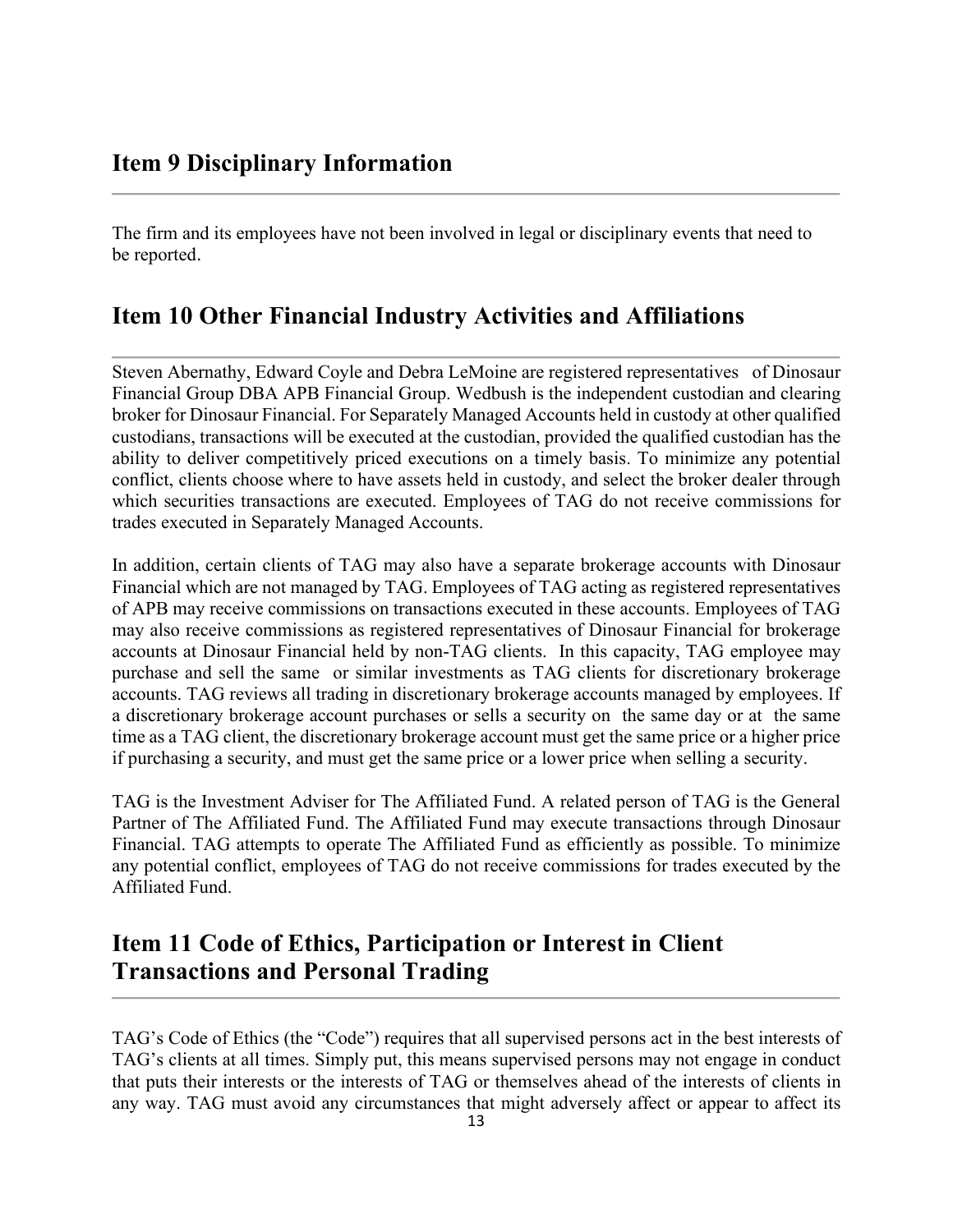<span id="page-12-0"></span>The firm and its employees have not been involved in legal or disciplinary events that need to be reported.

# <span id="page-12-1"></span>**Item 10 Other Financial Industry Activities and Affiliations**

Steven Abernathy, Edward Coyle and Debra LeMoine are registered representatives of Dinosaur Financial Group DBA APB Financial Group. Wedbush is the independent custodian and clearing broker for Dinosaur Financial. For Separately Managed Accounts held in custody at other qualified custodians, transactions will be executed at the custodian, provided the qualified custodian has the ability to deliver competitively priced executions on a timely basis. To minimize any potential conflict, clients choose where to have assets held in custody, and select the broker dealer through which securities transactions are executed. Employees of TAG do not receive commissions for trades executed in Separately Managed Accounts.

In addition, certain clients of TAG may also have a separate brokerage accounts with Dinosaur Financial which are not managed by TAG. Employees of TAG acting as registered representatives of APB may receive commissions on transactions executed in these accounts. Employees of TAG may also receive commissions as registered representatives of Dinosaur Financial for brokerage accounts at Dinosaur Financial held by non-TAG clients. In this capacity, TAG employee may purchase and sell the same or similar investments as TAG clients for discretionary brokerage accounts. TAG reviews all trading in discretionary brokerage accounts managed by employees. If a discretionary brokerage account purchases or sells a security on the same day or at the same time as a TAG client, the discretionary brokerage account must get the same price or a higher price if purchasing a security, and must get the same price or a lower price when selling a security.

TAG is the Investment Adviser for The Affiliated Fund. A related person of TAG is the General Partner of The Affiliated Fund. The Affiliated Fund may execute transactions through Dinosaur Financial. TAG attempts to operate The Affiliated Fund as efficiently as possible. To minimize any potential conflict, employees of TAG do not receive commissions for trades executed by the Affiliated Fund.

# <span id="page-12-3"></span><span id="page-12-2"></span>**Item 11 Code of Ethics, Participation or Interest in Client Transactions and Personal Trading**

TAG's Code of Ethics (the "Code") requires that all supervised persons act in the best interests of TAG's clients at all times. Simply put, this means supervised persons may not engage in conduct that puts their interests or the interests of TAG or themselves ahead of the interests of clients in any way. TAG must avoid any circumstances that might adversely affect or appear to affect its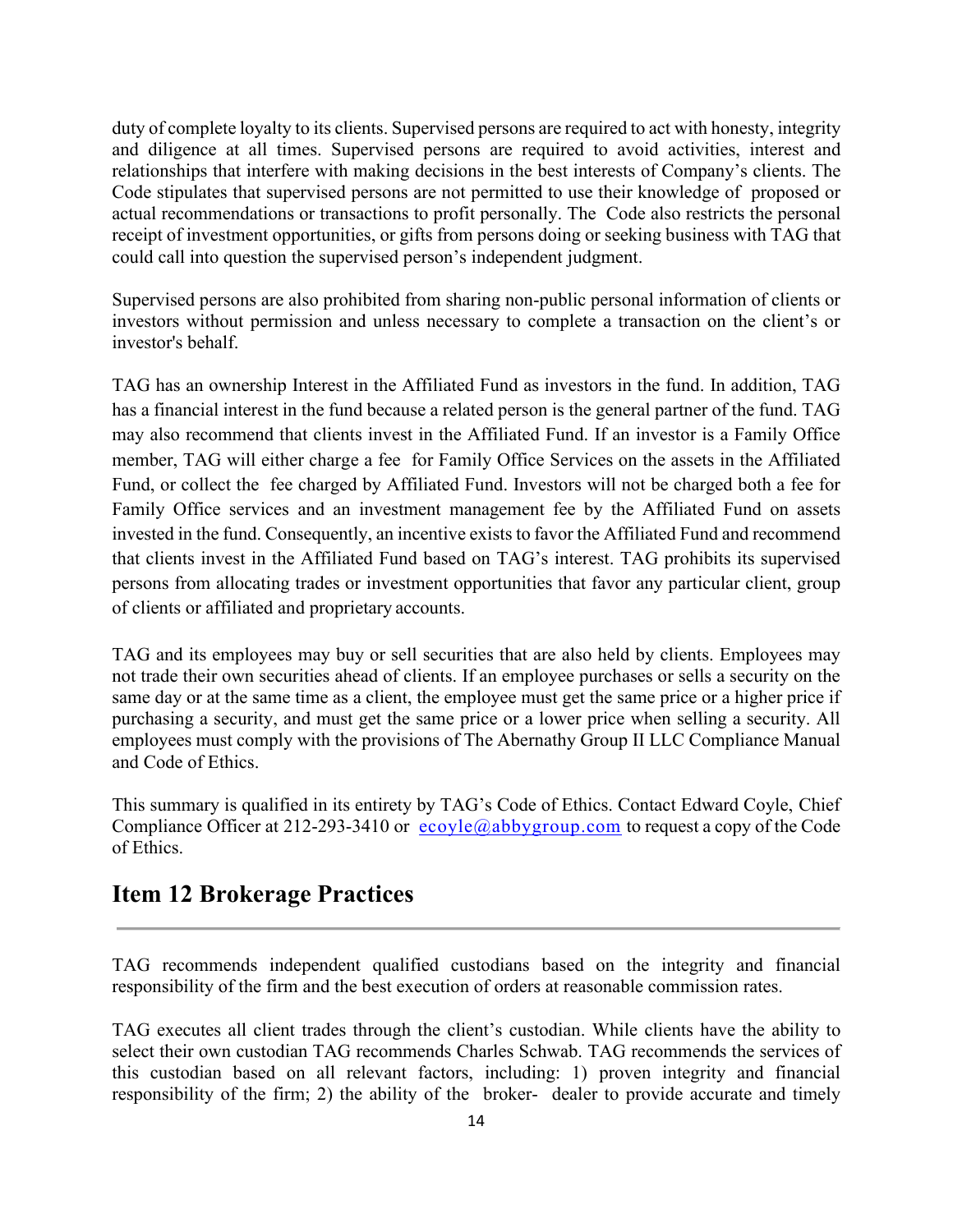duty of complete loyalty to its clients. Supervised persons are required to act with honesty, integrity and diligence at all times. Supervised persons are required to avoid activities, interest and relationships that interfere with making decisions in the best interests of Company's clients. The Code stipulates that supervised persons are not permitted to use their knowledge of proposed or actual recommendations or transactions to profit personally. The Code also restricts the personal receipt of investment opportunities, or gifts from persons doing or seeking business with TAG that could call into question the supervised person's independent judgment.

Supervised persons are also prohibited from sharing non-public personal information of clients or investors without permission and unless necessary to complete a transaction on the client's or investor's behalf.

TAG has an ownership Interest in the Affiliated Fund as investors in the fund. In addition, TAG has a financial interest in the fund because a related person is the general partner of the fund. TAG may also recommend that clients invest in the Affiliated Fund. If an investor is a Family Office member, TAG will either charge a fee for Family Office Services on the assets in the Affiliated Fund, or collect the fee charged by Affiliated Fund. Investors will not be charged both a fee for Family Office services and an investment management fee by the Affiliated Fund on assets invested in the fund. Consequently, an incentive exists to favor the Affiliated Fund and recommend that clients invest in the Affiliated Fund based on TAG's interest. TAG prohibits its supervised persons from allocating trades or investment opportunities that favor any particular client, group of clients or affiliated and proprietary accounts.

TAG and its employees may buy or sell securities that are also held by clients. Employees may not trade their own securities ahead of clients. If an employee purchases or sells a security on the same day or at the same time as a client, the employee must get the same price or a higher price if purchasing a security, and must get the same price or a lower price when selling a security. All employees must comply with the provisions of The Abernathy Group II LLC Compliance Manual and Code of Ethics.

This summary is qualified in its entirety by TAG's Code of Ethics. Contact Edward Coyle, Chief Compliance Officer at 212-293-3410 or  $ecoyle@abbygroup.com$  to request a copy of the Code of Ethics.

### <span id="page-13-0"></span>**Item 12 Brokerage Practices**

TAG recommends independent qualified custodians based on the integrity and financial responsibility of the firm and the best execution of orders at reasonable commission rates.

TAG executes all client trades through the client's custodian. While clients have the ability to select their own custodian TAG recommends Charles Schwab. TAG recommends the services of this custodian based on all relevant factors, including: 1) proven integrity and financial responsibility of the firm; 2) the ability of the broker- dealer to provide accurate and timely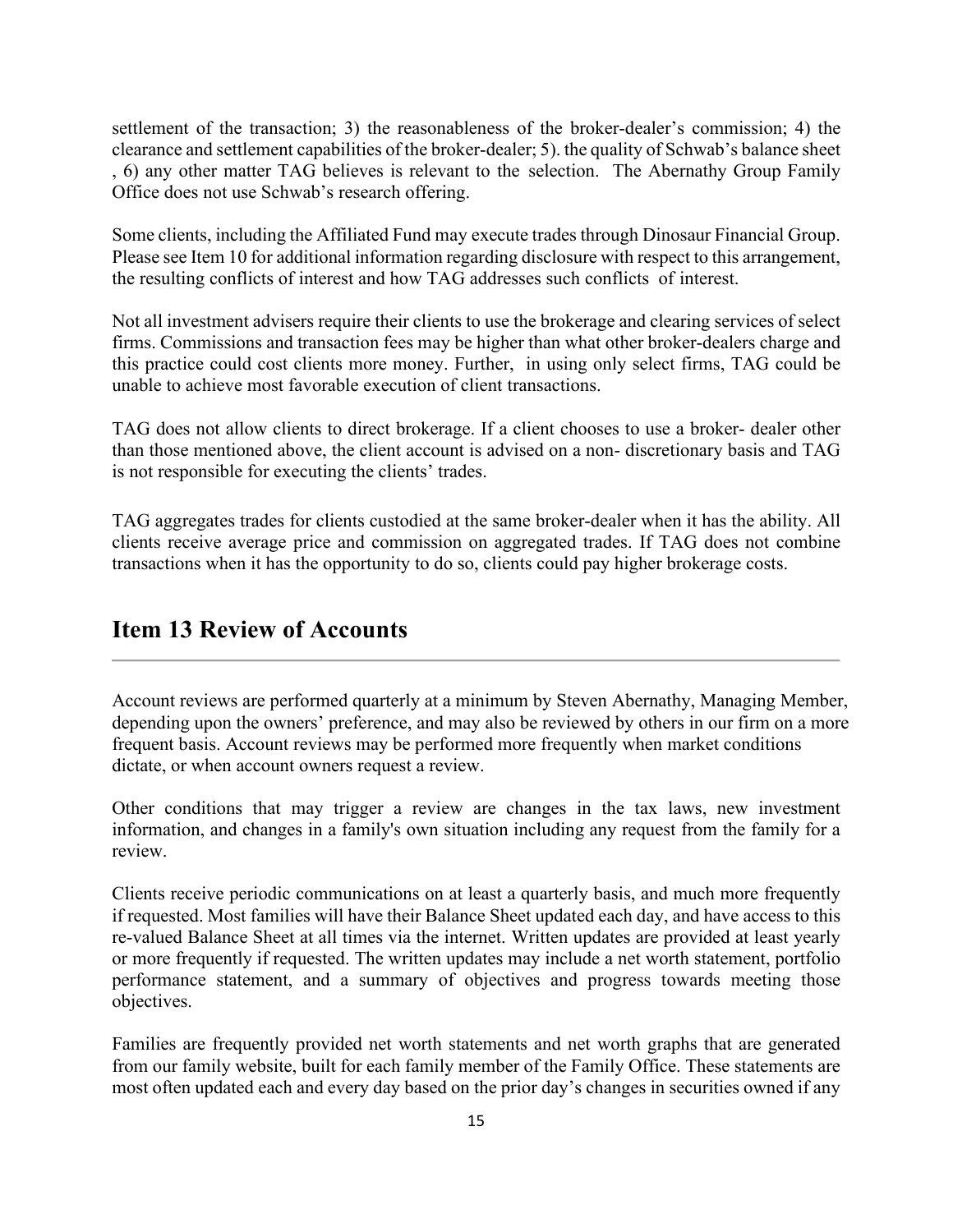settlement of the transaction; 3) the reasonableness of the broker-dealer's commission; 4) the clearance and settlement capabilities of the broker-dealer; 5). the quality of Schwab's balance sheet , 6) any other matter TAG believes is relevant to the selection. The Abernathy Group Family Office does not use Schwab's research offering.

Some clients, including the Affiliated Fund may execute trades through Dinosaur Financial Group. Please see Item 10 for additional information regarding disclosure with respect to this arrangement, the resulting conflicts of interest and how TAG addresses such conflicts of interest.

Not all investment advisers require their clients to use the brokerage and clearing services of select firms. Commissions and transaction fees may be higher than what other broker-dealers charge and this practice could cost clients more money. Further, in using only select firms, TAG could be unable to achieve most favorable execution of client transactions.

TAG does not allow clients to direct brokerage. If a client chooses to use a broker- dealer other than those mentioned above, the client account is advised on a non- discretionary basis and TAG is not responsible for executing the clients' trades.

TAG aggregates trades for clients custodied at the same broker-dealer when it has the ability. All clients receive average price and commission on aggregated trades. If TAG does not combine transactions when it has the opportunity to do so, clients could pay higher brokerage costs.

### <span id="page-14-0"></span>**Item 13 Review of Accounts**

Account reviews are performed quarterly at a minimum by Steven Abernathy, Managing Member, depending upon the owners' preference, and may also be reviewed by others in our firm on a more frequent basis. Account reviews may be performed more frequently when market conditions dictate, or when account owners request a review.

Other conditions that may trigger a review are changes in the tax laws, new investment information, and changes in a family's own situation including any request from the family for a review.

Clients receive periodic communications on at least a quarterly basis, and much more frequently if requested. Most families will have their Balance Sheet updated each day, and have access to this re-valued Balance Sheet at all times via the internet. Written updates are provided at least yearly or more frequently if requested. The written updates may include a net worth statement, portfolio performance statement, and a summary of objectives and progress towards meeting those objectives.

Families are frequently provided net worth statements and net worth graphs that are generated from our family website, built for each family member of the Family Office. These statements are most often updated each and every day based on the prior day's changes in securities owned if any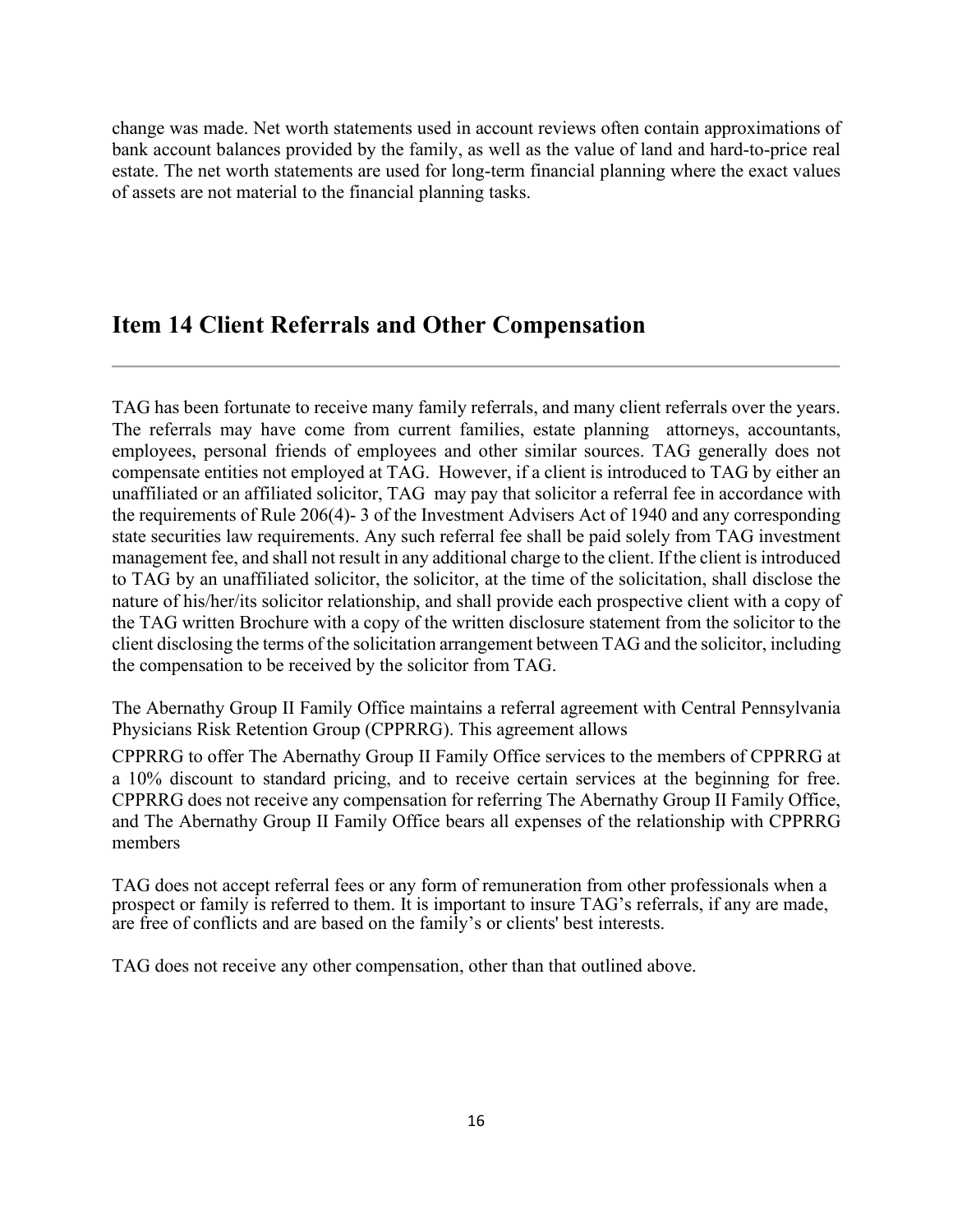change was made. Net worth statements used in account reviews often contain approximations of bank account balances provided by the family, as well as the value of land and hard-to-price real estate. The net worth statements are used for long-term financial planning where the exact values of assets are not material to the financial planning tasks.

### <span id="page-15-0"></span>**Item 14 Client Referrals and Other Compensation**

TAG has been fortunate to receive many family referrals, and many client referrals over the years. The referrals may have come from current families, estate planning attorneys, accountants, employees, personal friends of employees and other similar sources. TAG generally does not compensate entities not employed at TAG. However, if a client is introduced to TAG by either an unaffiliated or an affiliated solicitor, TAG may pay that solicitor a referral fee in accordance with the requirements of Rule 206(4)- 3 of the Investment Advisers Act of 1940 and any corresponding state securities law requirements. Any such referral fee shall be paid solely from TAG investment management fee, and shall not result in any additional charge to the client. If the client is introduced to TAG by an unaffiliated solicitor, the solicitor, at the time of the solicitation, shall disclose the nature of his/her/its solicitor relationship, and shall provide each prospective client with a copy of the TAG written Brochure with a copy of the written disclosure statement from the solicitor to the client disclosing the terms of the solicitation arrangement between TAG and the solicitor, including the compensation to be received by the solicitor from TAG.

The Abernathy Group II Family Office maintains a referral agreement with Central Pennsylvania Physicians Risk Retention Group (CPPRRG). This agreement allows

CPPRRG to offer The Abernathy Group II Family Office services to the members of CPPRRG at a 10% discount to standard pricing, and to receive certain services at the beginning for free. CPPRRG does not receive any compensation for referring The Abernathy Group II Family Office, and The Abernathy Group II Family Office bears all expenses of the relationship with CPPRRG members

TAG does not accept referral fees or any form of remuneration from other professionals when a prospect or family is referred to them. It is important to insure TAG's referrals, if any are made, are free of conflicts and are based on the family's or clients' best interests.

TAG does not receive any other compensation, other than that outlined above.